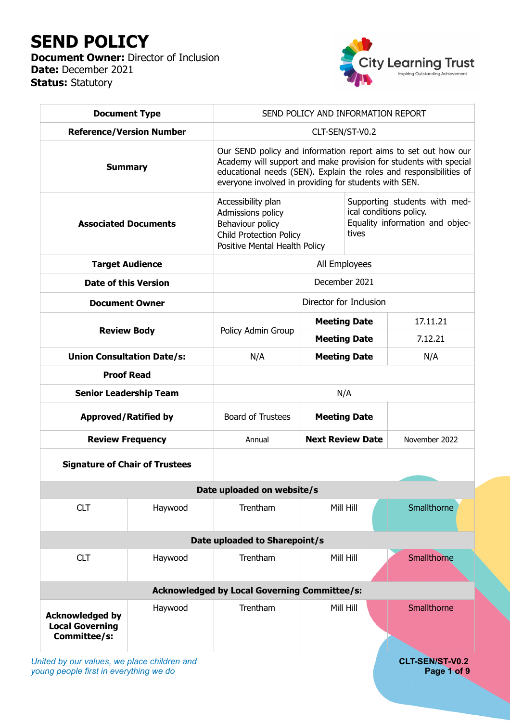# **SEND POLICY**

**Document Owner: Director of Inclusion Date:** December 2021 **Status:** Statutory



| <b>Document Type</b>                                             |                                   | SEND POLICY AND INFORMATION REPORT                                                                                                                                                                                                                                 |                         |                                                                                                      |               |  |  |  |  |
|------------------------------------------------------------------|-----------------------------------|--------------------------------------------------------------------------------------------------------------------------------------------------------------------------------------------------------------------------------------------------------------------|-------------------------|------------------------------------------------------------------------------------------------------|---------------|--|--|--|--|
| <b>Reference/Version Number</b>                                  |                                   | CLT-SEN/ST-V0.2                                                                                                                                                                                                                                                    |                         |                                                                                                      |               |  |  |  |  |
| <b>Summary</b>                                                   |                                   | Our SEND policy and information report aims to set out how our<br>Academy will support and make provision for students with special<br>educational needs (SEN). Explain the roles and responsibilities of<br>everyone involved in providing for students with SEN. |                         |                                                                                                      |               |  |  |  |  |
| <b>Associated Documents</b>                                      |                                   | Accessibility plan<br>Admissions policy<br>Behaviour policy<br><b>Child Protection Policy</b><br>Positive Mental Health Policy                                                                                                                                     |                         | Supporting students with med-<br>ical conditions policy.<br>Equality information and objec-<br>tives |               |  |  |  |  |
| <b>Target Audience</b>                                           |                                   | All Employees                                                                                                                                                                                                                                                      |                         |                                                                                                      |               |  |  |  |  |
| <b>Date of this Version</b>                                      |                                   | December 2021                                                                                                                                                                                                                                                      |                         |                                                                                                      |               |  |  |  |  |
|                                                                  | <b>Document Owner</b>             | Director for Inclusion                                                                                                                                                                                                                                             |                         |                                                                                                      |               |  |  |  |  |
| <b>Review Body</b>                                               |                                   | Policy Admin Group                                                                                                                                                                                                                                                 | <b>Meeting Date</b>     |                                                                                                      | 17.11.21      |  |  |  |  |
|                                                                  |                                   |                                                                                                                                                                                                                                                                    | <b>Meeting Date</b>     |                                                                                                      | 7.12.21       |  |  |  |  |
|                                                                  | <b>Union Consultation Date/s:</b> | N/A                                                                                                                                                                                                                                                                | <b>Meeting Date</b>     |                                                                                                      | N/A           |  |  |  |  |
| <b>Proof Read</b>                                                |                                   |                                                                                                                                                                                                                                                                    |                         |                                                                                                      |               |  |  |  |  |
| <b>Senior Leadership Team</b>                                    |                                   | N/A                                                                                                                                                                                                                                                                |                         |                                                                                                      |               |  |  |  |  |
| <b>Approved/Ratified by</b>                                      |                                   | <b>Board of Trustees</b>                                                                                                                                                                                                                                           | <b>Meeting Date</b>     |                                                                                                      |               |  |  |  |  |
| <b>Review Frequency</b>                                          |                                   | Annual                                                                                                                                                                                                                                                             | <b>Next Review Date</b> |                                                                                                      | November 2022 |  |  |  |  |
| <b>Signature of Chair of Trustees</b>                            |                                   |                                                                                                                                                                                                                                                                    |                         |                                                                                                      |               |  |  |  |  |
|                                                                  |                                   | Date uploaded on website/s                                                                                                                                                                                                                                         |                         |                                                                                                      |               |  |  |  |  |
| <b>CLT</b>                                                       | Haywood                           | Trentham                                                                                                                                                                                                                                                           |                         | Mill Hill                                                                                            | Smallthorne   |  |  |  |  |
|                                                                  | Date uploaded to Sharepoint/s     |                                                                                                                                                                                                                                                                    |                         |                                                                                                      |               |  |  |  |  |
| <b>CLT</b>                                                       | Haywood                           | Trentham                                                                                                                                                                                                                                                           | Mill Hill               |                                                                                                      | Smallthorne   |  |  |  |  |
| <b>Acknowledged by Local Governing Committee/s:</b>              |                                   |                                                                                                                                                                                                                                                                    |                         |                                                                                                      |               |  |  |  |  |
| <b>Acknowledged by</b><br><b>Local Governing</b><br>Committee/s: | Haywood                           | Trentham                                                                                                                                                                                                                                                           |                         | Mill Hill                                                                                            | Smallthorne   |  |  |  |  |

*United by our values, we place children and* **CLT-SEN/ST-V0.2**<br> **CLT-SEN/ST-V0.2**<br> **Page 1 of 9** *young people first in everything we do*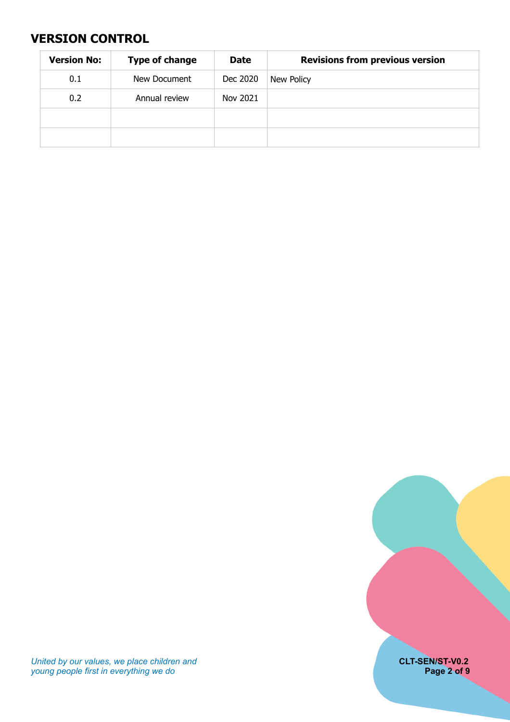# <span id="page-1-0"></span>**VERSION CONTROL**

| <b>Version No:</b> | <b>Type of change</b> | <b>Date</b> | <b>Revisions from previous version</b> |
|--------------------|-----------------------|-------------|----------------------------------------|
| 0.1                | New Document          | Dec 2020    | New Policy                             |
| 0.2                | Annual review         | Nov 2021    |                                        |
|                    |                       |             |                                        |
|                    |                       |             |                                        |



*United by our values, we place children and* **CLT-SEN/ST-V0.2** *young people first in everything we do* **Page 2 of 9**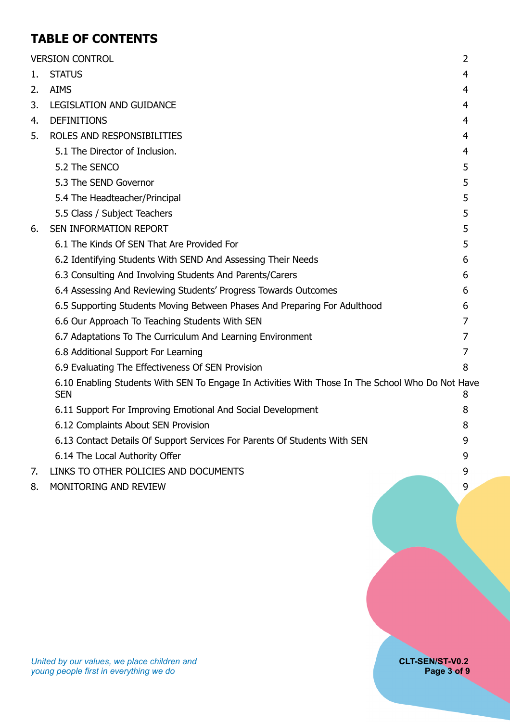# **TABLE OF CONTENTS**

|    | <b>VERSION CONTROL</b>                                                                                         | $\overline{2}$ |
|----|----------------------------------------------------------------------------------------------------------------|----------------|
| 1. | <b>STATUS</b>                                                                                                  | 4              |
| 2. | <b>AIMS</b>                                                                                                    | 4              |
| 3. | <b>LEGISLATION AND GUIDANCE</b>                                                                                | 4              |
| 4. | <b>DEFINITIONS</b>                                                                                             | 4              |
| 5. | ROLES AND RESPONSIBILITIES                                                                                     | 4              |
|    | 5.1 The Director of Inclusion.                                                                                 | 4              |
|    | 5.2 The SENCO                                                                                                  | 5              |
|    | 5.3 The SEND Governor                                                                                          | 5              |
|    | 5.4 The Headteacher/Principal                                                                                  | 5              |
|    | 5.5 Class / Subject Teachers                                                                                   | 5              |
| 6. | SEN INFORMATION REPORT                                                                                         | 5              |
|    | 6.1 The Kinds Of SEN That Are Provided For                                                                     | 5              |
|    | 6.2 Identifying Students With SEND And Assessing Their Needs                                                   | 6              |
|    | 6.3 Consulting And Involving Students And Parents/Carers                                                       | 6              |
|    | 6.4 Assessing And Reviewing Students' Progress Towards Outcomes                                                | 6              |
|    | 6.5 Supporting Students Moving Between Phases And Preparing For Adulthood                                      | 6              |
|    | 6.6 Our Approach To Teaching Students With SEN                                                                 | 7              |
|    | 6.7 Adaptations To The Curriculum And Learning Environment                                                     | 7              |
|    | 6.8 Additional Support For Learning                                                                            | 7              |
|    | 6.9 Evaluating The Effectiveness Of SEN Provision                                                              | 8              |
|    | 6.10 Enabling Students With SEN To Engage In Activities With Those In The School Who Do Not Have<br><b>SEN</b> | 8              |
|    | 6.11 Support For Improving Emotional And Social Development                                                    | 8              |
|    | 6.12 Complaints About SEN Provision                                                                            | 8              |
|    | 6.13 Contact Details Of Support Services For Parents Of Students With SEN                                      | 9              |
|    | 6.14 The Local Authority Offer                                                                                 | 9              |
| 7. | LINKS TO OTHER POLICIES AND DOCUMENTS                                                                          | 9              |
| 8. | MONITORING AND REVIEW                                                                                          | 9              |
|    |                                                                                                                |                |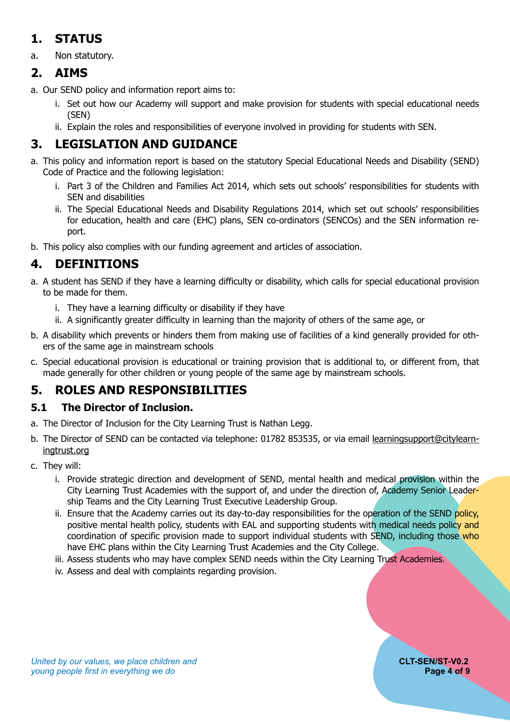# <span id="page-3-0"></span>**1. STATUS**

a. Non statutory.

# <span id="page-3-1"></span>**2. AIMS**

- a. Our SEND policy and information report aims to:
	- i. Set out how our Academy will support and make provision for students with special educational needs (SEN)
	- ii. Explain the roles and responsibilities of everyone involved in providing for students with SEN.

# <span id="page-3-2"></span>**3. LEGISLATION AND GUIDANCE**

- a. This policy and information report is based on the statutory Special Educational Needs and Disability (SEND) Code of Practice and the following legislation:
	- i. Part 3 of the Children and Families Act 2014, which sets out schools' responsibilities for students with SEN and disabilities
	- ii. The Special Educational Needs and Disability Regulations 2014, which set out schools' responsibilities for education, health and care (EHC) plans, SEN co-ordinators (SENCOs) and the SEN information report.
- b. This policy also complies with our funding agreement and articles of association.

# <span id="page-3-3"></span>**4. DEFINITIONS**

- a. A student has SEND if they have a learning difficulty or disability, which calls for special educational provision to be made for them.
	- i. They have a learning difficulty or disability if they have
	- ii. A significantly greater difficulty in learning than the majority of others of the same age, or
- b. A disability which prevents or hinders them from making use of facilities of a kind generally provided for others of the same age in mainstream schools
- c. Special educational provision is educational or training provision that is additional to, or different from, that made generally for other children or young people of the same age by mainstream schools.

# <span id="page-3-4"></span>**5. ROLES AND RESPONSIBILITIES**

#### <span id="page-3-5"></span>**5.1 The Director of Inclusion.**

- a. The Director of Inclusion for the City Learning Trust is Nathan Legg.
- b. The Director of SEND can be contacted via telephone: 01782 853535, or via email [learningsupport@citylearn](mailto:learningsupport@citylearningtrust.org)[ingtrust.org](mailto:learningsupport@citylearningtrust.org)
- c. They will:
	- i. Provide strategic direction and development of SEND, mental health and medical provision within the City Learning Trust Academies with the support of, and under the direction of, Academy Senior Leadership Teams and the City Learning Trust Executive Leadership Group.
	- ii. Ensure that the Academy carries out its day-to-day responsibilities for the operation of the SEND policy, positive mental health policy, students with EAL and supporting students with medical needs policy and coordination of specific provision made to support individual students with SEND, including those who have EHC plans within the City Learning Trust Academies and the City College.
	- iii. Assess students who may have complex SEND needs within the City Learning Trust Academies.
	- iv. Assess and deal with complaints regarding provision.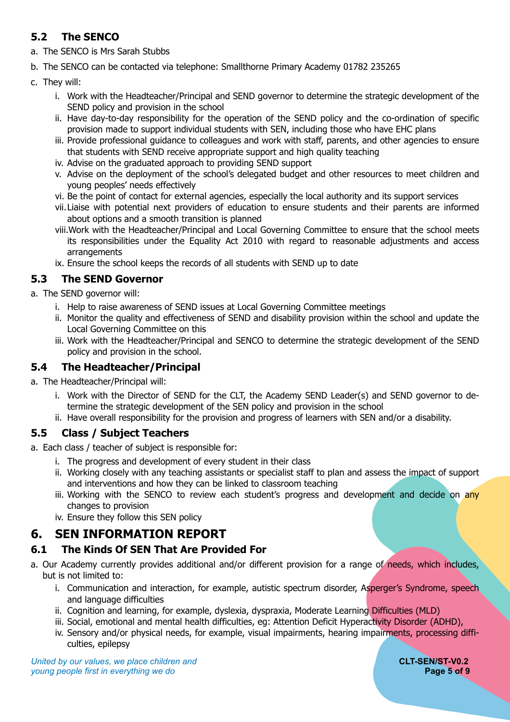### <span id="page-4-0"></span>**5.2 The SENCO**

a. The SENCO is Mrs Sarah Stubbs

b. The SENCO can be contacted via telephone: Smallthorne Primary Academy 01782 235265

- c. They will:
	- i. Work with the Headteacher/Principal and SEND governor to determine the strategic development of the SEND policy and provision in the school
	- ii. Have day-to-day responsibility for the operation of the SEND policy and the co-ordination of specific provision made to support individual students with SEN, including those who have EHC plans
	- iii. Provide professional guidance to colleagues and work with staff, parents, and other agencies to ensure that students with SEND receive appropriate support and high quality teaching
	- iv. Advise on the graduated approach to providing SEND support
	- v. Advise on the deployment of the school's delegated budget and other resources to meet children and young peoples' needs effectively
	- vi. Be the point of contact for external agencies, especially the local authority and its support services
	- vii.Liaise with potential next providers of education to ensure students and their parents are informed about options and a smooth transition is planned
	- viii.Work with the Headteacher/Principal and Local Governing Committee to ensure that the school meets its responsibilities under the Equality Act 2010 with regard to reasonable adjustments and access arrangements
	- ix. Ensure the school keeps the records of all students with SEND up to date

#### <span id="page-4-1"></span>**5.3 The SEND Governor**

- a. The SEND governor will:
	- i. Help to raise awareness of SEND issues at Local Governing Committee meetings
	- ii. Monitor the quality and effectiveness of SEND and disability provision within the school and update the Local Governing Committee on this
	- iii. Work with the Headteacher/Principal and SENCO to determine the strategic development of the SEND policy and provision in the school.

#### <span id="page-4-2"></span>**5.4 The Headteacher/Principal**

- a. The Headteacher/Principal will:
	- i. Work with the Director of SEND for the CLT, the Academy SEND Leader(s) and SEND governor to determine the strategic development of the SEN policy and provision in the school
	- ii. Have overall responsibility for the provision and progress of learners with SEN and/or a disability.

#### <span id="page-4-3"></span>**5.5 Class / Subject Teachers**

a. Each class / teacher of subject is responsible for:

- i. The progress and development of every student in their class
- ii. Working closely with any teaching assistants or specialist staff to plan and assess the impact of support and interventions and how they can be linked to classroom teaching
- iii. Working with the SENCO to review each student's progress and development and decide on any changes to provision
- <span id="page-4-4"></span>iv. Ensure they follow this SEN policy

# **6. SEN INFORMATION REPORT**

#### <span id="page-4-5"></span>**6.1 The Kinds Of SEN That Are Provided For**

- a. Our Academy currently provides additional and/or different provision for a range of needs, which includes, but is not limited to:
	- i. Communication and interaction, for example, autistic spectrum disorder, Asperger's Syndrome, speech and language difficulties
	- ii. Cognition and learning, for example, dyslexia, dyspraxia, Moderate Learning Difficulties (MLD)
	- iii. Social, emotional and mental health difficulties, eg: Attention Deficit Hyperactivity Disorder (ADHD),
	- iv. Sensory and/or physical needs, for example, visual impairments, hearing impairments, processing difficulties, epilepsy

**United by our values, we place children and <b>CLT-SEN/ST-V0.2 CLT-SEN/ST-V0.2** *young people first in everything we do* **Page 5 of 9 Page 5 of 9 Page 5 of 9**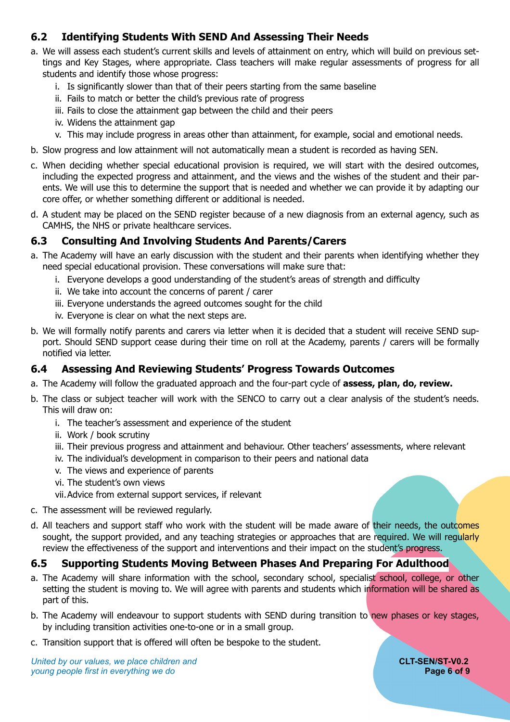#### <span id="page-5-0"></span>**6.2 Identifying Students With SEND And Assessing Their Needs**

- a. We will assess each student's current skills and levels of attainment on entry, which will build on previous settings and Key Stages, where appropriate. Class teachers will make regular assessments of progress for all students and identify those whose progress:
	- i. Is significantly slower than that of their peers starting from the same baseline
	- ii. Fails to match or better the child's previous rate of progress
	- iii. Fails to close the attainment gap between the child and their peers
	- iv. Widens the attainment gap
	- v. This may include progress in areas other than attainment, for example, social and emotional needs.
- b. Slow progress and low attainment will not automatically mean a student is recorded as having SEN.
- c. When deciding whether special educational provision is required, we will start with the desired outcomes, including the expected progress and attainment, and the views and the wishes of the student and their parents. We will use this to determine the support that is needed and whether we can provide it by adapting our core offer, or whether something different or additional is needed.
- d. A student may be placed on the SEND register because of a new diagnosis from an external agency, such as CAMHS, the NHS or private healthcare services.

#### <span id="page-5-1"></span>**6.3 Consulting And Involving Students And Parents/Carers**

- a. The Academy will have an early discussion with the student and their parents when identifying whether they need special educational provision. These conversations will make sure that:
	- i. Everyone develops a good understanding of the student's areas of strength and difficulty
	- ii. We take into account the concerns of parent / carer
	- iii. Everyone understands the agreed outcomes sought for the child
	- iv. Everyone is clear on what the next steps are.
- b. We will formally notify parents and carers via letter when it is decided that a student will receive SEND support. Should SEND support cease during their time on roll at the Academy, parents / carers will be formally notified via letter.

#### <span id="page-5-2"></span>**6.4 Assessing And Reviewing Students' Progress Towards Outcomes**

- a. The Academy will follow the graduated approach and the four-part cycle of **assess, plan, do, review.**
- b. The class or subject teacher will work with the SENCO to carry out a clear analysis of the student's needs. This will draw on:
	- i. The teacher's assessment and experience of the student
	- ii. Work / book scrutiny
	- iii. Their previous progress and attainment and behaviour. Other teachers' assessments, where relevant
	- iv. The individual's development in comparison to their peers and national data
	- v. The views and experience of parents
	- vi. The student's own views
	- vii.Advice from external support services, if relevant
- c. The assessment will be reviewed regularly.
- d. All teachers and support staff who work with the student will be made aware of their needs, the outcomes sought, the support provided, and any teaching strategies or approaches that are required. We will requiarly review the effectiveness of the support and interventions and their impact on the student's progress.

#### <span id="page-5-3"></span>**6.5 Supporting Students Moving Between Phases And Preparing For Adulthood**

- a. The Academy will share information with the school, secondary school, specialist school, college, or other setting the student is moving to. We will agree with parents and students which information will be shared as part of this.
- b. The Academy will endeavour to support students with SEND during transition to new phases or key stages, by including transition activities one-to-one or in a small group.
- c. Transition support that is offered will often be bespoke to the student.

**United by our values, we place children and <b>CLT-SEN/ST-V0.2 CLT-SEN/ST-V0.2** *young people first in everything we do* **Page 6 of 9 Page 6 of 9 Page 6 of 9**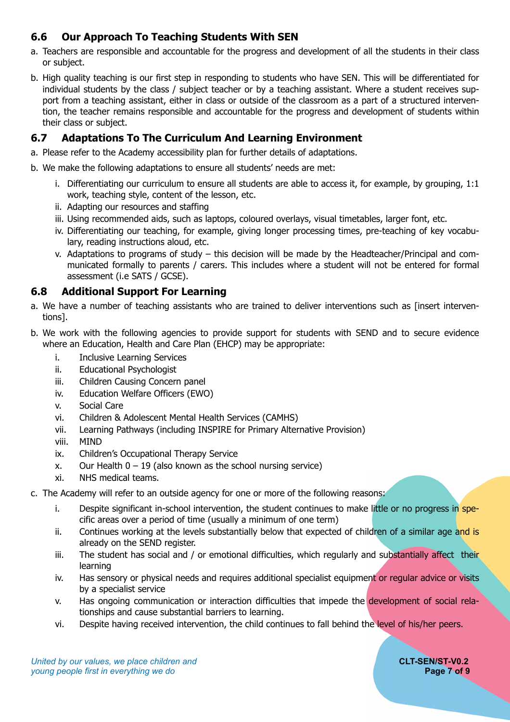### <span id="page-6-0"></span>**6.6 Our Approach To Teaching Students With SEN**

- a. Teachers are responsible and accountable for the progress and development of all the students in their class or subject.
- b. High quality teaching is our first step in responding to students who have SEN. This will be differentiated for individual students by the class / subject teacher or by a teaching assistant. Where a student receives support from a teaching assistant, either in class or outside of the classroom as a part of a structured intervention, the teacher remains responsible and accountable for the progress and development of students within their class or subject.

#### <span id="page-6-1"></span>**6.7 Adaptations To The Curriculum And Learning Environment**

- a. Please refer to the Academy accessibility plan for further details of adaptations.
- b. We make the following adaptations to ensure all students' needs are met:
	- i. Differentiating our curriculum to ensure all students are able to access it, for example, by grouping,  $1:1$ work, teaching style, content of the lesson, etc.
	- ii. Adapting our resources and staffing
	- iii. Using recommended aids, such as laptops, coloured overlays, visual timetables, larger font, etc.
	- iv. Differentiating our teaching, for example, giving longer processing times, pre-teaching of key vocabulary, reading instructions aloud, etc.
	- v. Adaptations to programs of study this decision will be made by the Headteacher/Principal and communicated formally to parents / carers. This includes where a student will not be entered for formal assessment (i.e SATS / GCSE).

#### <span id="page-6-2"></span>**6.8 Additional Support For Learning**

- a. We have a number of teaching assistants who are trained to deliver interventions such as [insert interventions].
- b. We work with the following agencies to provide support for students with SEND and to secure evidence where an Education, Health and Care Plan (EHCP) may be appropriate:
	- i. Inclusive Learning Services
	- ii. Educational Psychologist
	- iii. Children Causing Concern panel
	- iv. Education Welfare Officers (EWO)
	- v. Social Care
	- vi. Children & Adolescent Mental Health Services (CAMHS)
	- vii. Learning Pathways (including INSPIRE for Primary Alternative Provision)
	- viii. MIND
	- ix. Children's Occupational Therapy Service
	- x. Our Health  $0 19$  (also known as the school nursing service)
	- xi. NHS medical teams.
- c. The Academy will refer to an outside agency for one or more of the following reasons:
	- i. Despite significant in-school intervention, the student continues to make little or no progress in specific areas over a period of time (usually a minimum of one term)
	- ii. Continues working at the levels substantially below that expected of children of a similar age and is already on the SEND register.
	- iii. The student has social and / or emotional difficulties, which regularly and substantially affect their learning
	- iv. Has sensory or physical needs and requires additional specialist equipment or regular advice or visits by a specialist service
	- v. Has ongoing communication or interaction difficulties that impede the development of social relationships and cause substantial barriers to learning.
	- vi. Despite having received intervention, the child continues to fall behind the level of his/her peers.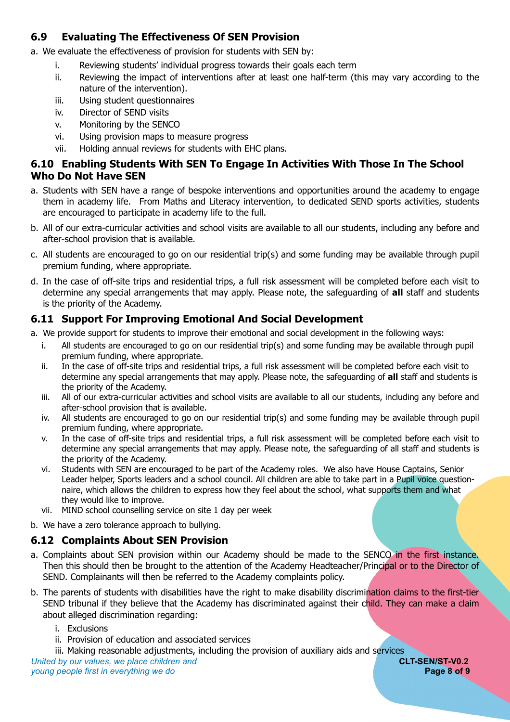#### <span id="page-7-0"></span>**6.9 Evaluating The Effectiveness Of SEN Provision**

a. We evaluate the effectiveness of provision for students with SEN by:

- i. Reviewing students' individual progress towards their goals each term
- ii. Reviewing the impact of interventions after at least one half-term (this may vary according to the nature of the intervention).
- iii. Using student questionnaires
- iv. Director of SEND visits
- v. Monitoring by the SENCO
- vi. Using provision maps to measure progress
- vii. Holding annual reviews for students with EHC plans.

#### <span id="page-7-1"></span>**6.10 Enabling Students With SEN To Engage In Activities With Those In The School Who Do Not Have SEN**

- a. Students with SEN have a range of bespoke interventions and opportunities around the academy to engage them in academy life. From Maths and Literacy intervention, to dedicated SEND sports activities, students are encouraged to participate in academy life to the full.
- b. All of our extra-curricular activities and school visits are available to all our students, including any before and after-school provision that is available.
- c. All students are encouraged to go on our residential trip(s) and some funding may be available through pupil premium funding, where appropriate.
- d. In the case of off-site trips and residential trips, a full risk assessment will be completed before each visit to determine any special arrangements that may apply. Please note, the safeguarding of **all** staff and students is the priority of the Academy.

#### <span id="page-7-2"></span>**6.11 Support For Improving Emotional And Social Development**

- a. We provide support for students to improve their emotional and social development in the following ways:
	- i. All students are encouraged to go on our residential trip(s) and some funding may be available through pupil premium funding, where appropriate.
	- ii. In the case of off-site trips and residential trips, a full risk assessment will be completed before each visit to determine any special arrangements that may apply. Please note, the safeguarding of **all** staff and students is the priority of the Academy.
	- iii. All of our extra-curricular activities and school visits are available to all our students, including any before and after-school provision that is available.
	- iv. All students are encouraged to go on our residential trip(s) and some funding may be available through pupil premium funding, where appropriate.
	- v. In the case of off-site trips and residential trips, a full risk assessment will be completed before each visit to determine any special arrangements that may apply. Please note, the safeguarding of all staff and students is the priority of the Academy.
	- vi. Students with SEN are encouraged to be part of the Academy roles. We also have House Captains, Senior Leader helper, Sports leaders and a school council. All children are able to take part in a Pupil voice questionnaire, which allows the children to express how they feel about the school, what supports them and what they would like to improve.
	- vii. MIND school counselling service on site 1 day per week
- b. We have a zero tolerance approach to bullying.

#### <span id="page-7-3"></span>**6.12 Complaints About SEN Provision**

- a. Complaints about SEN provision within our Academy should be made to the SENCO in the first instance. Then this should then be brought to the attention of the Academy Headteacher/Principal or to the Director of SEND. Complainants will then be referred to the Academy complaints policy.
- b. The parents of students with disabilities have the right to make disability discrimination claims to the first-tier SEND tribunal if they believe that the Academy has discriminated against their child. They can make a claim about alleged discrimination regarding:
	- i. Exclusions
	- ii. Provision of education and associated services
	- iii. Making reasonable adjustments, including the provision of auxiliary aids and services

*United by our values, we place children and* **CLT-SEN/ST-V0.2** *young people first in everything we do* **Page 8 of 9 Page 8 of 9 Page 8 of 9**